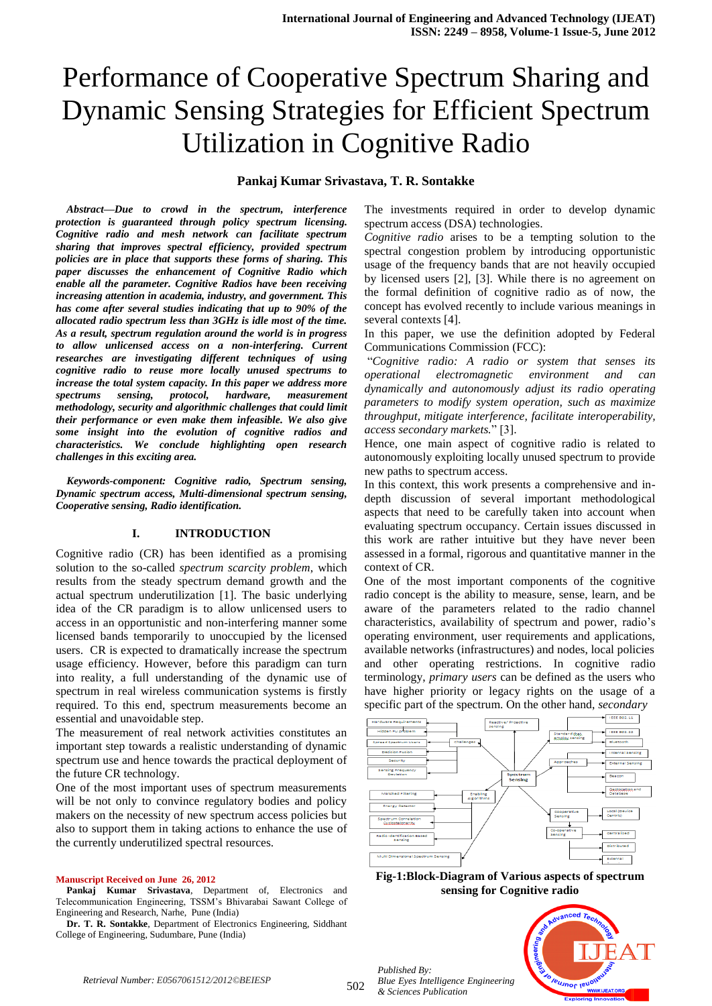## **Pankaj Kumar Srivastava, T. R. Sontakke**

*Abstract—Due to crowd in the spectrum, interference protection is guaranteed through policy spectrum licensing. Cognitive radio and mesh network can facilitate spectrum sharing that improves spectral efficiency, provided spectrum policies are in place that supports these forms of sharing. This paper discusses the enhancement of Cognitive Radio which enable all the parameter. Cognitive Radios have been receiving increasing attention in academia, industry, and government. This has come after several studies indicating that up to 90% of the allocated radio spectrum less than 3GHz is idle most of the time. As a result, spectrum regulation around the world is in progress to allow unlicensed access on a non-interfering. Current researches are investigating different techniques of using cognitive radio to reuse more locally unused spectrums to increase the total system capacity. In this paper we address more spectrums sensing, protocol, hardware, measurement methodology, security and algorithmic challenges that could limit their performance or even make them infeasible. We also give some insight into the evolution of cognitive radios and characteristics. We conclude highlighting open research challenges in this exciting area.* 

*Keywords-component: Cognitive radio, Spectrum sensing, Dynamic spectrum access, Multi-dimensional spectrum sensing, Cooperative sensing, Radio identification.*

## **I. INTRODUCTION**

Cognitive radio (CR) has been identified as a promising solution to the so-called *spectrum scarcity problem*, which results from the steady spectrum demand growth and the actual spectrum underutilization [1]. The basic underlying idea of the CR paradigm is to allow unlicensed users to access in an opportunistic and non-interfering manner some licensed bands temporarily to unoccupied by the licensed users. CR is expected to dramatically increase the spectrum usage efficiency. However, before this paradigm can turn into reality, a full understanding of the dynamic use of spectrum in real wireless communication systems is firstly required. To this end, spectrum measurements become an essential and unavoidable step.

The measurement of real network activities constitutes an important step towards a realistic understanding of dynamic spectrum use and hence towards the practical deployment of the future CR technology.

One of the most important uses of spectrum measurements will be not only to convince regulatory bodies and policy makers on the necessity of new spectrum access policies but also to support them in taking actions to enhance the use of the currently underutilized spectral resources.

#### **Manuscript Received on June 26, 2012**

**Pankaj Kumar Srivastava**, Department of, Electronics and Telecommunication Engineering, TSSM's Bhivarabai Sawant College of Engineering and Research, Narhe, Pune (India)

**Dr. T. R. Sontakke**, Department of Electronics Engineering, Siddhant College of Engineering, Sudumbare, Pune (India)

The investments required in order to develop dynamic spectrum access (DSA) technologies.

*Cognitive radio* arises to be a tempting solution to the spectral congestion problem by introducing opportunistic usage of the frequency bands that are not heavily occupied by licensed users [2], [3]. While there is no agreement on the formal definition of cognitive radio as of now, the concept has evolved recently to include various meanings in several contexts [4].

In this paper, we use the definition adopted by Federal Communications Commission (FCC):

"*Cognitive radio: A radio or system that senses its operational electromagnetic environment and can dynamically and autonomously adjust its radio operating parameters to modify system operation, such as maximize throughput, mitigate interference, facilitate interoperability, access secondary markets.*" [3].

Hence, one main aspect of cognitive radio is related to autonomously exploiting locally unused spectrum to provide new paths to spectrum access.

In this context, this work presents a comprehensive and indepth discussion of several important methodological aspects that need to be carefully taken into account when evaluating spectrum occupancy. Certain issues discussed in this work are rather intuitive but they have never been assessed in a formal, rigorous and quantitative manner in the context of CR.

One of the most important components of the cognitive radio concept is the ability to measure, sense, learn, and be aware of the parameters related to the radio channel characteristics, availability of spectrum and power, radio's operating environment, user requirements and applications, available networks (infrastructures) and nodes, local policies and other operating restrictions. In cognitive radio terminology, *primary users* can be defined as the users who have higher priority or legacy rights on the usage of a specific part of the spectrum. On the other hand, *secondary*



**Fig-1:Block-Diagram of Various aspects of spectrum sensing for Cognitive radio**

502 *Published By: Blue Eyes Intelligence Engineering & Sciences Publication* 

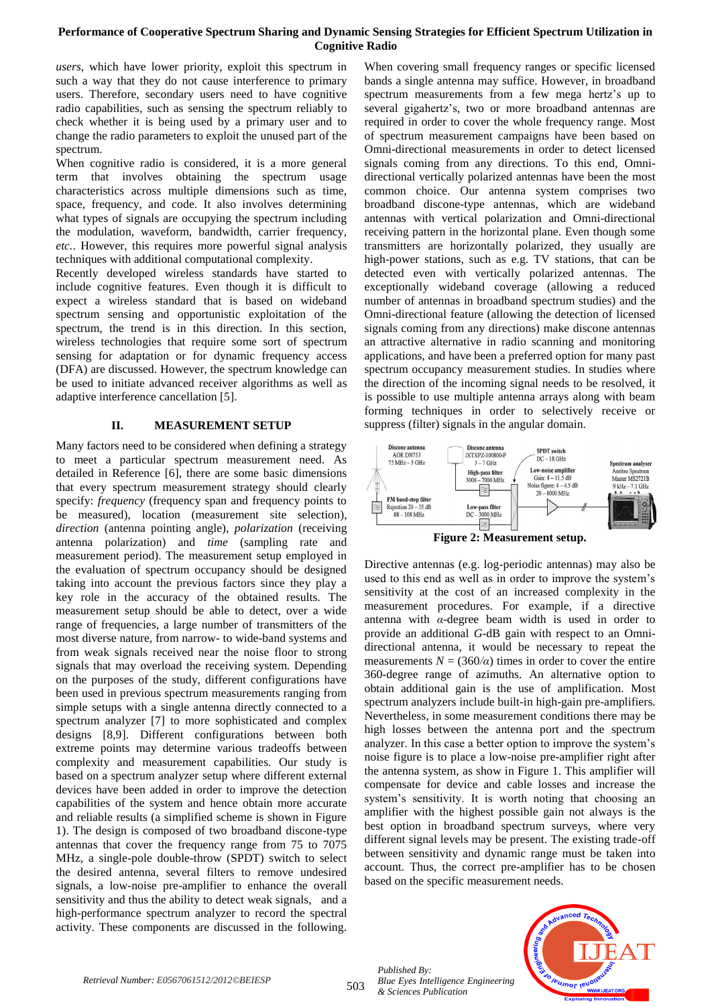*users*, which have lower priority, exploit this spectrum in such a way that they do not cause interference to primary users. Therefore, secondary users need to have cognitive radio capabilities, such as sensing the spectrum reliably to check whether it is being used by a primary user and to change the radio parameters to exploit the unused part of the spectrum.

When cognitive radio is considered, it is a more general term that involves obtaining the spectrum usage characteristics across multiple dimensions such as time, space, frequency, and code. It also involves determining what types of signals are occupying the spectrum including the modulation, waveform, bandwidth, carrier frequency, *etc.*. However, this requires more powerful signal analysis techniques with additional computational complexity.

Recently developed wireless standards have started to include cognitive features. Even though it is difficult to expect a wireless standard that is based on wideband spectrum sensing and opportunistic exploitation of the spectrum, the trend is in this direction. In this section, wireless technologies that require some sort of spectrum sensing for adaptation or for dynamic frequency access (DFA) are discussed. However, the spectrum knowledge can be used to initiate advanced receiver algorithms as well as adaptive interference cancellation [5].

# **II. MEASUREMENT SETUP**

Many factors need to be considered when defining a strategy to meet a particular spectrum measurement need. As detailed in Reference [6], there are some basic dimensions that every spectrum measurement strategy should clearly specify: *frequency* (frequency span and frequency points to be measured), location (measurement site selection), *direction* (antenna pointing angle), *polarization* (receiving antenna polarization) and *time* (sampling rate and measurement period). The measurement setup employed in the evaluation of spectrum occupancy should be designed taking into account the previous factors since they play a key role in the accuracy of the obtained results. The measurement setup should be able to detect, over a wide range of frequencies, a large number of transmitters of the most diverse nature, from narrow- to wide-band systems and from weak signals received near the noise floor to strong signals that may overload the receiving system. Depending on the purposes of the study, different configurations have been used in previous spectrum measurements ranging from simple setups with a single antenna directly connected to a spectrum analyzer [7] to more sophisticated and complex designs [8,9]. Different configurations between both extreme points may determine various tradeoffs between complexity and measurement capabilities. Our study is based on a spectrum analyzer setup where different external devices have been added in order to improve the detection capabilities of the system and hence obtain more accurate and reliable results (a simplified scheme is shown in Figure 1). The design is composed of two broadband discone-type antennas that cover the frequency range from 75 to 7075 MHz, a single-pole double-throw (SPDT) switch to select the desired antenna, several filters to remove undesired signals, a low-noise pre-amplifier to enhance the overall sensitivity and thus the ability to detect weak signals, and a high-performance spectrum analyzer to record the spectral activity. These components are discussed in the following.

When covering small frequency ranges or specific licensed bands a single antenna may suffice. However, in broadband spectrum measurements from a few mega hertz's up to several gigahertz's, two or more broadband antennas are required in order to cover the whole frequency range. Most of spectrum measurement campaigns have been based on Omni-directional measurements in order to detect licensed signals coming from any directions. To this end, Omnidirectional vertically polarized antennas have been the most common choice. Our antenna system comprises two broadband discone-type antennas, which are wideband antennas with vertical polarization and Omni-directional receiving pattern in the horizontal plane. Even though some transmitters are horizontally polarized, they usually are high-power stations, such as e.g. TV stations, that can be detected even with vertically polarized antennas. The exceptionally wideband coverage (allowing a reduced number of antennas in broadband spectrum studies) and the Omni-directional feature (allowing the detection of licensed signals coming from any directions) make discone antennas an attractive alternative in radio scanning and monitoring applications, and have been a preferred option for many past spectrum occupancy measurement studies. In studies where the direction of the incoming signal needs to be resolved, it is possible to use multiple antenna arrays along with beam forming techniques in order to selectively receive or suppress (filter) signals in the angular domain.





Directive antennas (e.g. log-periodic antennas) may also be used to this end as well as in order to improve the system's sensitivity at the cost of an increased complexity in the measurement procedures. For example, if a directive antenna with *α*-degree beam width is used in order to provide an additional *G*-dB gain with respect to an Omnidirectional antenna, it would be necessary to repeat the measurements  $N = (360/\alpha)$  times in order to cover the entire 360-degree range of azimuths. An alternative option to obtain additional gain is the use of amplification. Most spectrum analyzers include built-in high-gain pre-amplifiers. Nevertheless, in some measurement conditions there may be high losses between the antenna port and the spectrum analyzer. In this case a better option to improve the system's noise figure is to place a low-noise pre-amplifier right after the antenna system, as show in Figure 1. This amplifier will compensate for device and cable losses and increase the system's sensitivity. It is worth noting that choosing an amplifier with the highest possible gain not always is the best option in broadband spectrum surveys, where very different signal levels may be present. The existing trade-off between sensitivity and dynamic range must be taken into account. Thus, the correct pre-amplifier has to be chosen based on the specific measurement needs.



503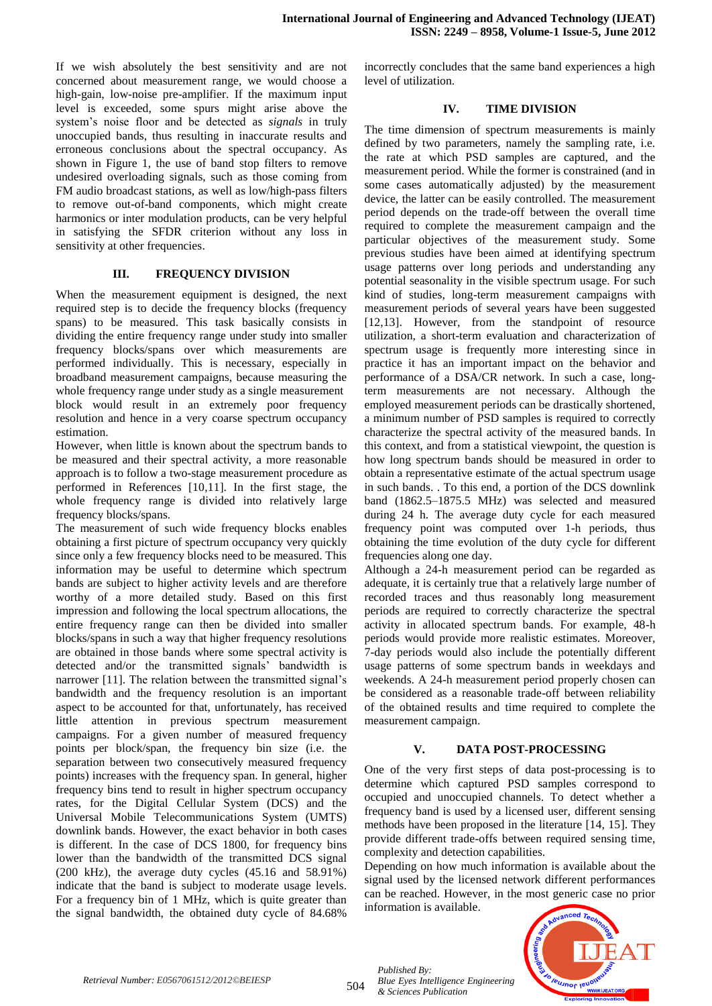If we wish absolutely the best sensitivity and are not concerned about measurement range, we would choose a high-gain, low-noise pre-amplifier. If the maximum input level is exceeded, some spurs might arise above the system's noise floor and be detected as *signals* in truly unoccupied bands, thus resulting in inaccurate results and erroneous conclusions about the spectral occupancy. As shown in Figure 1, the use of band stop filters to remove undesired overloading signals, such as those coming from FM audio broadcast stations, as well as low/high-pass filters to remove out-of-band components, which might create harmonics or inter modulation products, can be very helpful in satisfying the SFDR criterion without any loss in sensitivity at other frequencies.

#### **III. FREQUENCY DIVISION**

When the measurement equipment is designed, the next required step is to decide the frequency blocks (frequency spans) to be measured. This task basically consists in dividing the entire frequency range under study into smaller frequency blocks/spans over which measurements are performed individually. This is necessary, especially in broadband measurement campaigns, because measuring the whole frequency range under study as a single measurement block would result in an extremely poor frequency resolution and hence in a very coarse spectrum occupancy estimation.

However, when little is known about the spectrum bands to be measured and their spectral activity, a more reasonable approach is to follow a two-stage measurement procedure as performed in References [10,11]. In the first stage, the whole frequency range is divided into relatively large frequency blocks/spans.

The measurement of such wide frequency blocks enables obtaining a first picture of spectrum occupancy very quickly since only a few frequency blocks need to be measured. This information may be useful to determine which spectrum bands are subject to higher activity levels and are therefore worthy of a more detailed study. Based on this first impression and following the local spectrum allocations, the entire frequency range can then be divided into smaller blocks/spans in such a way that higher frequency resolutions are obtained in those bands where some spectral activity is detected and/or the transmitted signals' bandwidth is narrower [11]. The relation between the transmitted signal's bandwidth and the frequency resolution is an important aspect to be accounted for that, unfortunately, has received little attention in previous spectrum measurement campaigns. For a given number of measured frequency points per block/span, the frequency bin size (i.e. the separation between two consecutively measured frequency points) increases with the frequency span. In general, higher frequency bins tend to result in higher spectrum occupancy rates, for the Digital Cellular System (DCS) and the Universal Mobile Telecommunications System (UMTS) downlink bands. However, the exact behavior in both cases is different. In the case of DCS 1800, for frequency bins lower than the bandwidth of the transmitted DCS signal (200 kHz), the average duty cycles (45.16 and 58.91%) indicate that the band is subject to moderate usage levels. For a frequency bin of 1 MHz, which is quite greater than the signal bandwidth, the obtained duty cycle of 84.68%

incorrectly concludes that the same band experiences a high level of utilization.

#### **IV. TIME DIVISION**

The time dimension of spectrum measurements is mainly defined by two parameters, namely the sampling rate, i.e. the rate at which PSD samples are captured, and the measurement period. While the former is constrained (and in some cases automatically adjusted) by the measurement device, the latter can be easily controlled. The measurement period depends on the trade-off between the overall time required to complete the measurement campaign and the particular objectives of the measurement study. Some previous studies have been aimed at identifying spectrum usage patterns over long periods and understanding any potential seasonality in the visible spectrum usage. For such kind of studies, long-term measurement campaigns with measurement periods of several years have been suggested [12,13]. However, from the standpoint of resource utilization, a short-term evaluation and characterization of spectrum usage is frequently more interesting since in practice it has an important impact on the behavior and performance of a DSA/CR network. In such a case, longterm measurements are not necessary. Although the employed measurement periods can be drastically shortened, a minimum number of PSD samples is required to correctly characterize the spectral activity of the measured bands. In this context, and from a statistical viewpoint, the question is how long spectrum bands should be measured in order to obtain a representative estimate of the actual spectrum usage in such bands. . To this end, a portion of the DCS downlink band (1862.5–1875.5 MHz) was selected and measured during 24 h. The average duty cycle for each measured frequency point was computed over 1-h periods, thus obtaining the time evolution of the duty cycle for different frequencies along one day.

Although a 24-h measurement period can be regarded as adequate, it is certainly true that a relatively large number of recorded traces and thus reasonably long measurement periods are required to correctly characterize the spectral activity in allocated spectrum bands. For example, 48-h periods would provide more realistic estimates. Moreover, 7-day periods would also include the potentially different usage patterns of some spectrum bands in weekdays and weekends. A 24-h measurement period properly chosen can be considered as a reasonable trade-off between reliability of the obtained results and time required to complete the measurement campaign.

#### **V. DATA POST-PROCESSING**

One of the very first steps of data post-processing is to determine which captured PSD samples correspond to occupied and unoccupied channels. To detect whether a frequency band is used by a licensed user, different sensing methods have been proposed in the literature [14, 15]. They provide different trade-offs between required sensing time, complexity and detection capabilities.

Depending on how much information is available about the signal used by the licensed network different performances can be reached. However, in the most generic case no prior information is available.



*Retrieval Number: E0567061512/2012©BEIESP*

504

*Published By: Blue Eyes Intelligence Engineering & Sciences Publication*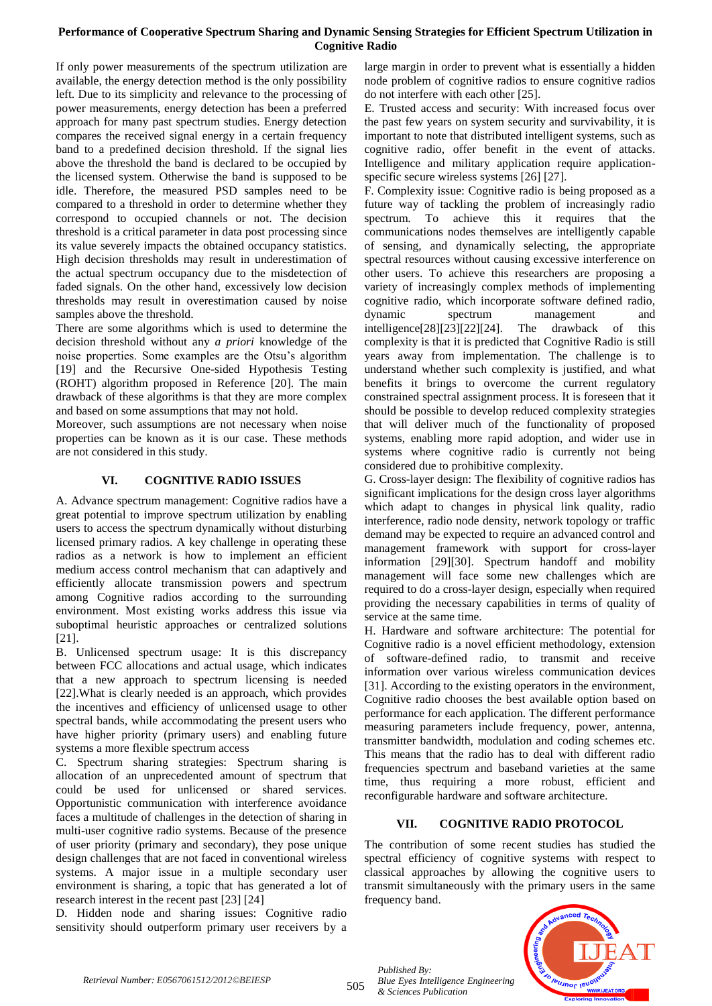If only power measurements of the spectrum utilization are available, the energy detection method is the only possibility left. Due to its simplicity and relevance to the processing of power measurements, energy detection has been a preferred approach for many past spectrum studies. Energy detection compares the received signal energy in a certain frequency band to a predefined decision threshold. If the signal lies above the threshold the band is declared to be occupied by the licensed system. Otherwise the band is supposed to be idle. Therefore, the measured PSD samples need to be compared to a threshold in order to determine whether they correspond to occupied channels or not. The decision threshold is a critical parameter in data post processing since its value severely impacts the obtained occupancy statistics. High decision thresholds may result in underestimation of the actual spectrum occupancy due to the misdetection of faded signals. On the other hand, excessively low decision thresholds may result in overestimation caused by noise samples above the threshold.

There are some algorithms which is used to determine the decision threshold without any *a priori* knowledge of the noise properties. Some examples are the Otsu's algorithm [19] and the Recursive One-sided Hypothesis Testing (ROHT) algorithm proposed in Reference [20]. The main drawback of these algorithms is that they are more complex and based on some assumptions that may not hold.

Moreover, such assumptions are not necessary when noise properties can be known as it is our case. These methods are not considered in this study.

# **VI. COGNITIVE RADIO ISSUES**

A. Advance spectrum management: Cognitive radios have a great potential to improve spectrum utilization by enabling users to access the spectrum dynamically without disturbing licensed primary radios. A key challenge in operating these radios as a network is how to implement an efficient medium access control mechanism that can adaptively and efficiently allocate transmission powers and spectrum among Cognitive radios according to the surrounding environment. Most existing works address this issue via suboptimal heuristic approaches or centralized solutions [21].

B. Unlicensed spectrum usage: It is this discrepancy between FCC allocations and actual usage, which indicates that a new approach to spectrum licensing is needed [22].What is clearly needed is an approach, which provides the incentives and efficiency of unlicensed usage to other spectral bands, while accommodating the present users who have higher priority (primary users) and enabling future systems a more flexible spectrum access

C. Spectrum sharing strategies: Spectrum sharing is allocation of an unprecedented amount of spectrum that could be used for unlicensed or shared services. Opportunistic communication with interference avoidance faces a multitude of challenges in the detection of sharing in multi-user cognitive radio systems. Because of the presence of user priority (primary and secondary), they pose unique design challenges that are not faced in conventional wireless systems. A major issue in a multiple secondary user environment is sharing, a topic that has generated a lot of research interest in the recent past [23] [24]

D. Hidden node and sharing issues: Cognitive radio sensitivity should outperform primary user receivers by a large margin in order to prevent what is essentially a hidden node problem of cognitive radios to ensure cognitive radios do not interfere with each other [25].

E. Trusted access and security: With increased focus over the past few years on system security and survivability, it is important to note that distributed intelligent systems, such as cognitive radio, offer benefit in the event of attacks. Intelligence and military application require applicationspecific secure wireless systems [26] [27].

F. Complexity issue: Cognitive radio is being proposed as a future way of tackling the problem of increasingly radio spectrum. To achieve this it requires that the communications nodes themselves are intelligently capable of sensing, and dynamically selecting, the appropriate spectral resources without causing excessive interference on other users. To achieve this researchers are proposing a variety of increasingly complex methods of implementing cognitive radio, which incorporate software defined radio, dynamic spectrum management and intelligence[28][23][22][24]. The drawback of this complexity is that it is predicted that Cognitive Radio is still years away from implementation. The challenge is to understand whether such complexity is justified, and what benefits it brings to overcome the current regulatory constrained spectral assignment process. It is foreseen that it should be possible to develop reduced complexity strategies that will deliver much of the functionality of proposed systems, enabling more rapid adoption, and wider use in systems where cognitive radio is currently not being considered due to prohibitive complexity.

G. Cross-layer design: The flexibility of cognitive radios has significant implications for the design cross layer algorithms which adapt to changes in physical link quality, radio interference, radio node density, network topology or traffic demand may be expected to require an advanced control and management framework with support for cross-layer information [29][30]. Spectrum handoff and mobility management will face some new challenges which are required to do a cross-layer design, especially when required providing the necessary capabilities in terms of quality of service at the same time.

H. Hardware and software architecture: The potential for Cognitive radio is a novel efficient methodology, extension of software-defined radio, to transmit and receive information over various wireless communication devices [31]. According to the existing operators in the environment, Cognitive radio chooses the best available option based on performance for each application. The different performance measuring parameters include frequency, power, antenna, transmitter bandwidth, modulation and coding schemes etc. This means that the radio has to deal with different radio frequencies spectrum and baseband varieties at the same time, thus requiring a more robust, efficient and reconfigurable hardware and software architecture.

## **VII. COGNITIVE RADIO PROTOCOL**

The contribution of some recent studies has studied the spectral efficiency of cognitive systems with respect to classical approaches by allowing the cognitive users to transmit simultaneously with the primary users in the same frequency band.



505

*Published By:*

*& Sciences Publication* 

*Blue Eyes Intelligence Engineering*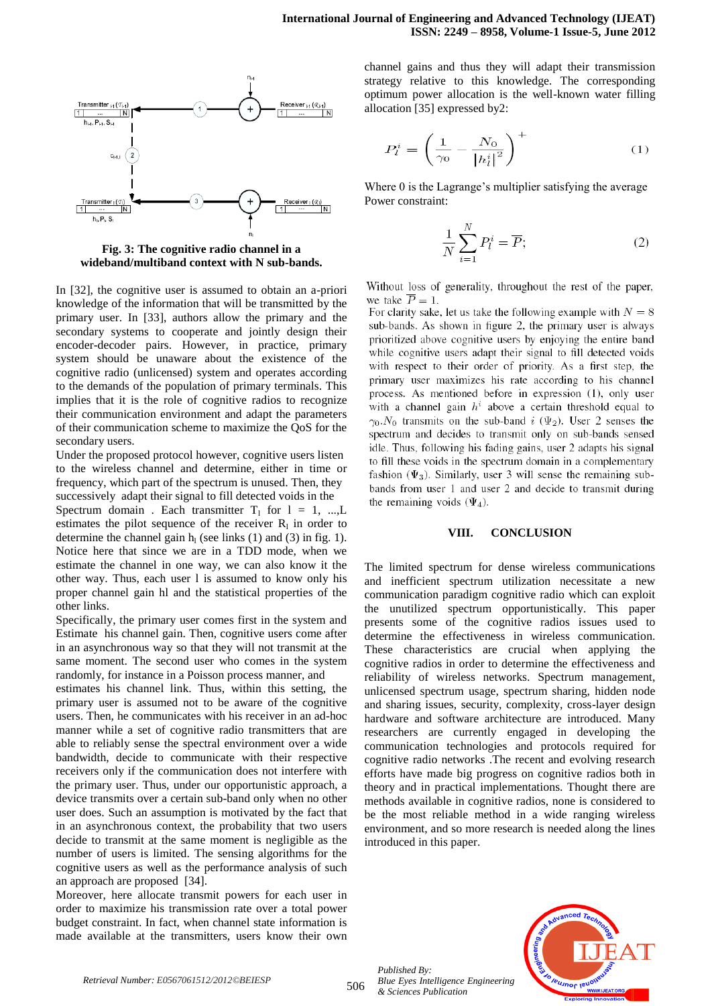

**Fig. 3: The cognitive radio channel in a wideband/multiband context with N sub-bands.**

In [32], the cognitive user is assumed to obtain an a-priori knowledge of the information that will be transmitted by the primary user. In [33], authors allow the primary and the secondary systems to cooperate and jointly design their encoder-decoder pairs. However, in practice, primary system should be unaware about the existence of the cognitive radio (unlicensed) system and operates according to the demands of the population of primary terminals. This implies that it is the role of cognitive radios to recognize their communication environment and adapt the parameters of their communication scheme to maximize the QoS for the secondary users.

Under the proposed protocol however, cognitive users listen to the wireless channel and determine, either in time or frequency, which part of the spectrum is unused. Then, they successively adapt their signal to fill detected voids in the

Spectrum domain. Each transmitter  $T_1$  for  $l = 1, ... , L$ estimates the pilot sequence of the receiver  $R_1$  in order to determine the channel gain  $h<sub>l</sub>$  (see links (1) and (3) in fig. 1). Notice here that since we are in a TDD mode, when we estimate the channel in one way, we can also know it the other way. Thus, each user l is assumed to know only his proper channel gain hl and the statistical properties of the other links.

Specifically, the primary user comes first in the system and Estimate his channel gain. Then, cognitive users come after in an asynchronous way so that they will not transmit at the same moment. The second user who comes in the system randomly, for instance in a Poisson process manner, and

estimates his channel link. Thus, within this setting, the primary user is assumed not to be aware of the cognitive users. Then, he communicates with his receiver in an ad-hoc manner while a set of cognitive radio transmitters that are able to reliably sense the spectral environment over a wide bandwidth, decide to communicate with their respective receivers only if the communication does not interfere with the primary user. Thus, under our opportunistic approach, a device transmits over a certain sub-band only when no other user does. Such an assumption is motivated by the fact that in an asynchronous context, the probability that two users decide to transmit at the same moment is negligible as the number of users is limited. The sensing algorithms for the cognitive users as well as the performance analysis of such an approach are proposed [34].

Moreover, here allocate transmit powers for each user in order to maximize his transmission rate over a total power budget constraint. In fact, when channel state information is made available at the transmitters, users know their own channel gains and thus they will adapt their transmission strategy relative to this knowledge. The corresponding optimum power allocation is the well-known water filling allocation [35] expressed by2:

$$
P_l^i = \left(\frac{1}{\gamma_0} - \frac{N_0}{|h_l^i|^2}\right)^{+}
$$
 (1)

Where 0 is the Lagrange's multiplier satisfying the average Power constraint:

$$
\frac{1}{N} \sum_{i=1}^{N} P_l^i = \overline{P};\tag{2}
$$

Without loss of generality, throughout the rest of the paper, we take  $\overline{P} = 1$ .

For clarity sake, let us take the following example with  $N = 8$ sub-bands. As shown in figure 2, the primary user is always prioritized above cognitive users by enjoying the entire band while cognitive users adapt their signal to fill detected voids with respect to their order of priority. As a first step, the primary user maximizes his rate according to his channel process. As mentioned before in expression (1), only user with a channel gain  $h^{i}$  above a certain threshold equal to  $\gamma_0$ . N<sub>0</sub> transmits on the sub-band i ( $\Psi_2$ ). User 2 senses the spectrum and decides to transmit only on sub-bands sensed idle. Thus, following his fading gains, user 2 adapts his signal to fill these voids in the spectrum domain in a complementary fashion  $(\Psi_3)$ . Similarly, user 3 will sense the remaining subbands from user 1 and user 2 and decide to transmit during the remaining voids  $(\Psi_4)$ .

#### **VIII. CONCLUSION**

The limited spectrum for dense wireless communications and inefficient spectrum utilization necessitate a new communication paradigm cognitive radio which can exploit the unutilized spectrum opportunistically. This paper presents some of the cognitive radios issues used to determine the effectiveness in wireless communication. These characteristics are crucial when applying the cognitive radios in order to determine the effectiveness and reliability of wireless networks. Spectrum management, unlicensed spectrum usage, spectrum sharing, hidden node and sharing issues, security, complexity, cross-layer design hardware and software architecture are introduced. Many researchers are currently engaged in developing the communication technologies and protocols required for cognitive radio networks .The recent and evolving research efforts have made big progress on cognitive radios both in theory and in practical implementations. Thought there are methods available in cognitive radios, none is considered to be the most reliable method in a wide ranging wireless environment, and so more research is needed along the lines introduced in this paper.